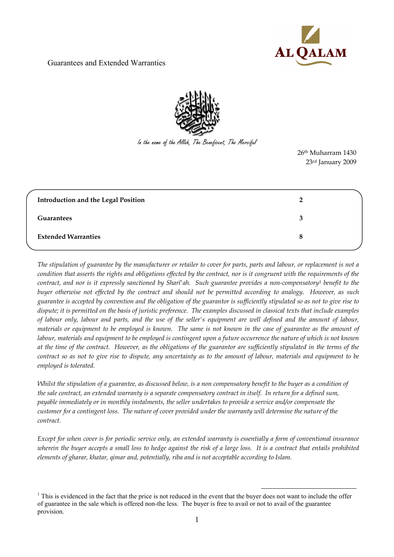



In the name of the Allah, The Beneficent, The Merciful

 26th Muharram 1430 23rd January 2009

| <b>Introduction and the Legal Position</b> |   |
|--------------------------------------------|---|
| <b>Guarantees</b>                          | 3 |
| <b>Extended Warranties</b>                 | 8 |

*The stipulation of guarantee by the manufacturer or retailer to cover for parts, parts and labour, or replacement is not a condition that asserts the rights and obligations effected by the contract, nor is it congruent with the requirements of the contract, and nor is it expressly sanctioned by Sharî'ah. Such guarantee provides a non-compensatory<sup>1</sup> benefit to the buyer otherwise not effected by the contract and should not be permitted according to analogy. However, as such guarantee is accepted by convention and the obligation of the guarantor is sufficiently stipulated so as not to give rise to dispute; it is permitted on the basis of juristic preference. The examples discussed in classical texts that include examples of labour only, labour and parts, and the use of the seller's equipment are well defined and the amount of labour, materials or equipment to be employed is known. The same is not known in the case of guarantee as the amount of labour, materials and equipment to be employed is contingent upon a future occurrence the nature of which is not known at the time of the contract. However, as the obligations of the guarantor are sufficiently stipulated in the terms of the contract so as not to give rise to dispute, any uncertainty as to the amount of labour, materials and equipment to be employed is tolerated.* 

*Whilst the stipulation of a guarantee, as discussed below, is a non compensatory benefit to the buyer as a condition of the sale contract, an extended warranty is a separate compensatory contract in itself. In return for a defined sum, payable immediately or in monthly instalments, the seller undertakes to provide a service and/or compensate the customer for a contingent loss. The nature of cover provided under the warranty will determine the nature of the contract.* 

*Except for when cover is for periodic service only, an extended warranty is essentially a form of conventional insurance wherein the buyer accepts a small loss to hedge against the risk of a large loss. It is a contract that entails prohibited elements of gharar, khatar, qimar and, potentially, riba and is not acceptable according to Islam*.

<sup>-</sup> $<sup>1</sup>$  This is evidenced in the fact that the price is not reduced in the event that the buyer does not want to include the offer</sup> of guarantee in the sale which is offered non-the less. The buyer is free to avail or not to avail of the guarantee provision.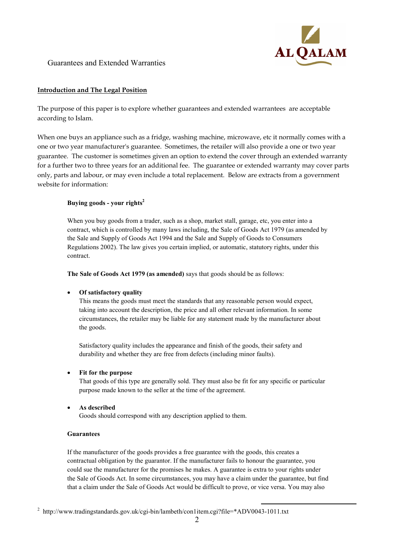

### **Introduction and The Legal Position**

The purpose of this paper is to explore whether guarantees and extended warrantees are acceptable according to Islam.

When one buys an appliance such as a fridge, washing machine, microwave, etc it normally comes with a one or two year manufacturer's guarantee. Sometimes, the retailer will also provide a one or two year guarantee. The customer is sometimes given an option to extend the cover through an extended warranty for a further two to three years for an additional fee. The guarantee or extended warranty may cover parts only, parts and labour, or may even include a total replacement. Below are extracts from a government website for information:

### **Buying goods - your rights<sup>2</sup>**

When you buy goods from a trader, such as a shop, market stall, garage, etc, you enter into a contract, which is controlled by many laws including, the Sale of Goods Act 1979 (as amended by the Sale and Supply of Goods Act 1994 and the Sale and Supply of Goods to Consumers Regulations 2002). The law gives you certain implied, or automatic, statutory rights, under this contract.

**The Sale of Goods Act 1979 (as amended)** says that goods should be as follows:

#### • **Of satisfactory quality**

This means the goods must meet the standards that any reasonable person would expect, taking into account the description, the price and all other relevant information. In some circumstances, the retailer may be liable for any statement made by the manufacturer about the goods.

Satisfactory quality includes the appearance and finish of the goods, their safety and durability and whether they are free from defects (including minor faults).

#### • **Fit for the purpose**

That goods of this type are generally sold. They must also be fit for any specific or particular purpose made known to the seller at the time of the agreement.

#### • **As described**

Goods should correspond with any description applied to them.

#### **Guarantees**

If the manufacturer of the goods provides a free guarantee with the goods, this creates a contractual obligation by the guarantor. If the manufacturer fails to honour the guarantee, you could sue the manufacturer for the promises he makes. A guarantee is extra to your rights under the Sale of Goods Act. In some circumstances, you may have a claim under the guarantee, but find that a claim under the Sale of Goods Act would be difficult to prove, or vice versa. You may also

<sup>1</sup> <sup>2</sup> http://www.tradingstandards.gov.uk/cgi-bin/lambeth/con1item.cgi?file=\*ADV0043-1011.txt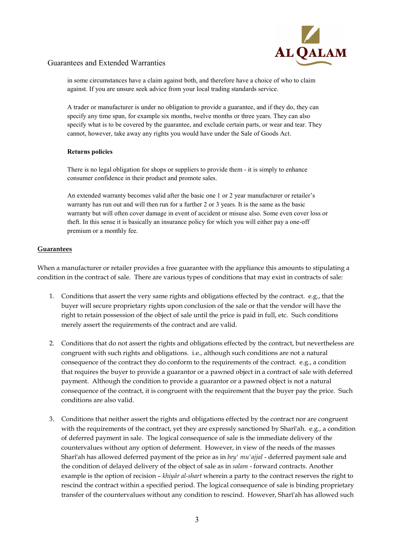

in some circumstances have a claim against both, and therefore have a choice of who to claim against. If you are unsure seek advice from your local trading standards service.

A trader or manufacturer is under no obligation to provide a guarantee, and if they do, they can specify any time span, for example six months, twelve months or three years. They can also specify what is to be covered by the guarantee, and exclude certain parts, or wear and tear. They cannot, however, take away any rights you would have under the Sale of Goods Act.

#### **Returns policies**

There is no legal obligation for shops or suppliers to provide them - it is simply to enhance consumer confidence in their product and promote sales.

An extended warranty becomes valid after the basic one 1 or 2 year manufacturer or retailer's warranty has run out and will then run for a further 2 or 3 years. It is the same as the basic warranty but will often cover damage in event of accident or misuse also. Some even cover loss or theft. In this sense it is basically an insurance policy for which you will either pay a one-off premium or a monthly fee.

## **Guarantees**

When a manufacturer or retailer provides a free guarantee with the appliance this amounts to stipulating a condition in the contract of sale. There are various types of conditions that may exist in contracts of sale:

- 1. Conditions that assert the very same rights and obligations effected by the contract. e.g., that the buyer will secure proprietary rights upon conclusion of the sale or that the vendor will have the right to retain possession of the object of sale until the price is paid in full, etc. Such conditions merely assert the requirements of the contract and are valid.
- 2. Conditions that do not assert the rights and obligations effected by the contract, but nevertheless are congruent with such rights and obligations. i.e., although such conditions are not a natural consequence of the contract they do conform to the requirements of the contract. e.g., a condition that requires the buyer to provide a guarantor or a pawned object in a contract of sale with deferred payment. Although the condition to provide a guarantor or a pawned object is not a natural consequence of the contract, it is congruent with the requirement that the buyer pay the price. Such conditions are also valid.
- 3. Conditions that neither assert the rights and obligations effected by the contract nor are congruent with the requirements of the contract, yet they are expressly sanctioned by Sharî'ah. e.g., a condition of deferred payment in sale. The logical consequence of sale is the immediate delivery of the countervalues without any option of deferment. However, in view of the needs of the masses Sharî'ah has allowed deferred payment of the price as in *bey' mu'ajjal* - deferred payment sale and the condition of delayed delivery of the object of sale as in *salam* - forward contracts. Another example is the option of recision – *khiyâr al-shart* wherein a party to the contract reserves the right to rescind the contract within a specified period. The logical consequence of sale is binding proprietary transfer of the countervalues without any condition to rescind. However, Sharî'ah has allowed such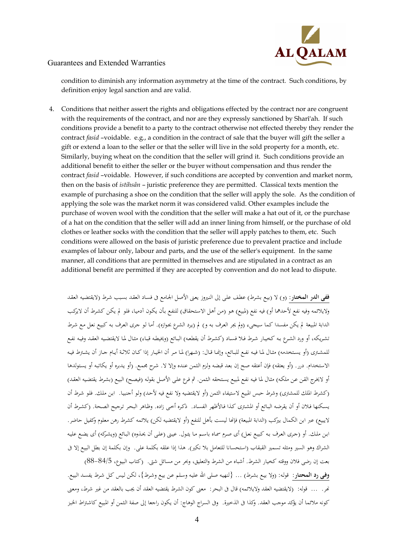

condition to diminish any information asymmetry at the time of the contract. Such conditions, by definition enjoy legal sanction and are valid.

4. Conditions that neither assert the rights and obligations effected by the contract nor are congruent with the requirements of the contract, and nor are they expressly sanctioned by Sharî'ah. If such conditions provide a benefit to a party to the contract otherwise not effected thereby they render the contract *fasid* –voidable. e.g., a condition in the contract of sale that the buyer will gift the seller a gift or extend a loan to the seller or that the seller will live in the sold property for a month, etc. Similarly, buying wheat on the condition that the seller will grind it. Such conditions provide an additional benefit to either the seller or the buyer without compensation and thus render the contract *fasid* –voidable. However, if such conditions are accepted by convention and market norm, then on the basis of *istihsân* – juristic preference they are permitted. Classical texts mention the example of purchasing a shoe on the condition that the seller will apply the sole. As the condition of applying the sole was the market norm it was considered valid. Other examples include the purchase of woven wool with the condition that the seller will make a hat out of it, or the purchase of a hat on the condition that the seller will add an inner lining from himself, or the purchase of old clothes or leather socks with the condition that the seller will apply patches to them, etc. Such conditions were allowed on the basis of juristic preference due to prevalent practice and include examples of labour only, labour and parts, and the use of the seller's equipment. In the same manner, all conditions that are permitted in themselves and are stipulated in a contract as an additional benefit are permitted if they are accepted by convention and do not lead to dispute.

ففى ا**لدر المختار**: (و) لا (بيع بشرط) عطف على إلى النيروز يعنى الأصل الجـامع فى فسـاد العقـد بسبب شرط (لايقتضيه العقد ولايلائمه وفيه نفع لأحدهما أو) فيه نفع (لمبيع) هو (من أهل الاستحقاق) للنفع بأن يكون آدميـا، فلو لم يكـن كشرط أن لايركب الدابة المبيعة لم يكن مفسدا كما سيجيء (ولم يجر العرف به و) لم (يرد الشرع بجوازه). أمـا لو جرى العرف بـه كبيـع نعل مـع شرط تشـريكه، أو ورد الشـرع بـه كخيـار شـرط فـلا فسـاد ( كشـرط أن يقطعـه) البـائع ( ويخيطـه قبـاء) مثـال لمـا لايقتضـيه العقـد وفيـه نفـع للمشـتري (أو يسـتخدمه) مثـال لمـا فيـه نفـع للبـائع، وإنمـا قـال: (شـهرا) لمـا مـر أن الخيـار إذا كــان ثلاثـة أيـام جـاز أن يشـترط فيـه الاستخدام. درر. (أو يعتقه) فإن أعتقه صح إن بعد قبضه ولزم الثمن عنده وإلا لا. شرح مجمع. (أو يدبره أو يكاتبه أو يستولدها أو لايخـرج القـن عـن ملكـه) مثـال لمـا فيـه نفـع لمبيـع يسـتحقه الـثمن . ثم فـرع علـى الأصـل بقولـه ( فيصـح) البيـع ( بشـرط يقتضـيه العقـد) (كشرط الملك للمشترى) وشرط حبس المبيع لاستيفاء الثمن (أو لايقتضيه ولا نفع فيه لأحد) ولو أجنبيـا. ابـن ملك. فلو شرط أن يسكنها فـلان أو أن يقرضه البـائع أو المشـترى كـذا فـالأظهر الفسـاد. ذكـره أخـى زاده. وظـاهر البحر تـرجيح الصـحة. (كشـرط أن لايبيع) عبر ابن الكمال بيركب (الدابة المبيعة) فإنّحا ليست بأهل للنفع (أو لايقتضيه لكن) يلائمه كشرط رهن معلوم وكفيل حاضر . ابـن ملـك. أو (جـرى العرف بـه كبيـع نعـل) أي صـرم سمـاه باسـم مـا يئـول. عيـنى (علـى أن يحـذوه) البـائع (ويشـركه) أي يضـع عليـه الشراك وهو السير ومثله تسمير القبقاب (استحسانا للتعامل بلا نكير). هذا إذا علقه بكلمة على. وإن بكلمة إن بطل البيع إلا فى بعت إن رضي فلان ووقته كخيار الشرط. أشباه من الشرط والتعليق، وبحر من مسائل شتى. (كتاب البيوع، 5/84-88)

وفي **رد المحتـار**: قوله: (ولا بيـع بشـرط) ... {لنهيـه صـلى الله عليه وسلم عـن بيـع وشـرط}، لكـن ليس كـل شـرط يفسـد البيـع. نمر. … قوله: (لايقتضيه العقد ولايلائمه) قال في البحر: معنى كون الشرط يقتضيه العقد أن يجب بالعقد من غير شرط، ومعنى كونه ملائما أن يؤكد موجب العقد. وكذا فى الذخيرة. وفى السراج الوهاج: أن يكون راجعا إلى صفة الثمن أو المبيع كاشتراط الخبز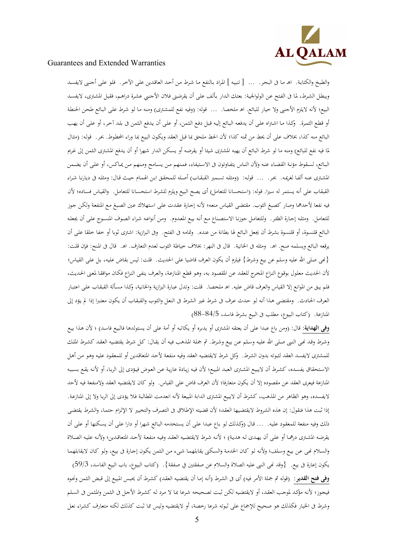

والطبخ والكتابة. اهـ مـا في البحر. ... [ تنبيه ] المراد بالنفع مـا شرط من أحد العاقدين على الآخر. فلو على أجنبي لايفسد ويبطل الشرط، لما في الفتح عن الولوالجية: بعتك الدار بألف على أن يقرضني فلان الأجنبي عشرة دراهـم، فقبل المشتري، لايفسد البيع؛ لأنه لايلزم الأجنبي ولا خيار للبائع. اهـ ملخصا. ... قوله: (وفيه نفع للمشترى) ومنه ما لو شرط على البائع طحن الحنطة أو قطع الثمرة. وكذا مـا اشتراه على أن يدفعه البـائع إليه قبـل دفـع الثمن، أو علـى أن يدفع الثمن في بلد آخر، أو علـى أن يهب البائع منه كذا، بخلاف على أن يحط من ثمنه كذا؛ لأن الحط ملحق بما قبل العقد ويكون البيع بما وراء المحطوط. بحر. قوله: (مثال لما فيه نفع للبائع) ومنه ما لو شرط البائع أن يهبه المشترى شيئا أو يقرضه أو يسكن الـدار شـهرا أو أن يـدفع المشترى الثمن إلى غريم البـائع، لسـقوط مؤنـة القضـاء عنـه ولأن النـاس يتفـاوتون فى الاسـتيفاء، فمـنهم مـن يسـامح ومـنهم مـن يمـاكس، أو علـى أن يضـمن المشـترى عنـه ألفـا لغريمـه. بحـر. ... قولـه: (ومثلـه تسـمير القبقـاب) أصـله للمحقـق ابـن الهمـام حيـث قـال: ومثلـه فى ديارنـا شـراء القبقاب على أنه يستمر له سيرا. قوله: (استحسانا للتعامل) أي يصح البيع ويلزم للشرط استحسـانا للتعامـل. والقيـاس فسـاده؛ لأن فيه نفعا لأحدهما وصار كصبغ الثوب . مقتضـى القيـاس منعـه؛ لأنـه إجـارة عقـدت علـى اسـتهلاك عـين الصـبغ مـع المنفعـة ولكـن جـوز للتعامل. ومثله إجـارة الظئـر. وللتعامـل جوزنـا الاستصناع مـع أنـه بيـع المعدوم. ومـن أنواعـه شـراء الصوف المنسـوج علـى أن يجعله البائع قلنسوة، أو قلنسوة بشرط أن يجعل البائع لها بطانة من عنده. وتمامه فى الفتح. وفى البزازية: اشترى ثوبا أو خفا خلقا على أن يرقعه البائع ويسلمه صح. اهـ. ومثله فى الخانية. قال فى النهر: بخلاف خياطة الثوب لعدم التعارف. اهـ. قال فى المنح: فإن قلت: { ى االله صلى عليه وسلم عن بيع وشرط} فيلزم أن يكون العرف قاضيا على الحديث . قلت: ليس بقاض عليـه، بـل علـى القيـاس؛ لأن الحديث معلول بوقوع النزاع المخرج للعقد عن المقصود به، وهو قطع المنازعة، والعرف ينفي النزاع فكـان موافقـا لمعنى الحـديث، فلم يبق من الموانع إلا القياس والعرف قاض عليه. اهـ ملخصا. قلت: وتدل عبارة البزازية والخانية، وكذا مسـألة القبقـاب علـى اعتبـار العرف الحادث. ومقتضى هذا أنه لو حدث عرف فى شرط غير الشرط فى النعل والثوب والقبقاب أن يكون معتبرا إذا لم يؤد إلى المنازعة . (كتاب البيوع، مطلب فى البيع بشرط فاسد، 5/ 84- )88

**وفي الهداية**: قال: (ومن باع عبدا على أن يعتقه المشترى أو يدبره أو يكاتبه أو أمة على أن يستولدها فالبيع فاسد) ؛ لأن هذا بيع وشرط وقـد نحى النبي صلى الله عليه وسلم عن بيـع وشرط. ثم جملة المذهب فيه أن يقـال: كـل شرط يقتضيه العقـد كشرط الملك للمشترى لايفسد العقد لثبوته بدون الشرط. وكل شرط لايقتضيه العقد وفيه منفعة لأحد المتعاقدين أو للمعقود عليه وهو من أهل الاستحقاق يفسـده، كشـرط أن لايبيع المشترى العبـد المبيع؛ لأن فيـه زيـادة عاريـة عـن العوض فيـؤدي إلى الربـا، أو لأنـه يقـع بسببه المنازعة فيعرى العقد عن مقصوده أن إلا يكون متعارفا؛ لأن العرف قاض على القياس . ولو كان لايقتضيه العقد ولامنفعة فيه لأحد لايفسده، وهو الظاهر من المذهب، كشرط أن لايبيع المشترى الدابة المبيعة لأنه انعدمت المطالبة فلا يؤدي إلى الربا ولا إلى المنازعة. إذا ثبت هذا فنقول: إن هذه الشروط لايقتضيها العقد؛ لأن قضيته الإطلاق فى التصرف والتخيير لا الإلزام حتمـا، والشرط يقتضى ذلك وفيه منفعة للمعقود عليه. ... قال (وكذلك لو بـاع عبدا على أن يستخدمه البـائع شـهرا أو دارا على أن يسكنها أو على أن يقرضـه المشـترى درهمـا أو علـى أن يهـدي لـه هديـة) ؛ لأنـه شـرط لايقتضـيه العقـد وفيـه منفعـة لأحـد المتعاقـدين؛ ولأنـه عليـه الصـلاة والسلام نحي عن بيع وسلف؛ ولأنه لو كـان الخدمة والسكنى يقابلهمـا شيء من الثمن يكون إجـارة فى بيع، ولو كـان لايقابلهمـا يكون إعارة فى بيع. {وقد نَمى النبي عليه الصلاة والسلام عن صفقتين في صفقة}. (كتاب البيوع، باب البيع الفاسد، 3/59) وفى فتح القدير: (قوله ثم جملة الأمر فيه) أي في الشرط (أنه إمـا أن يقتضيه العقد) كشرط أن يحبس المبيع إلى قبض الثمن ونحوه فيجوز؛ لأنه مؤكد لموجب العقد، أو لايقتضيه لكن ثبت تصحيحه شرعا بما لا مرد له كشرط الأجل فى الثمن والمثمن فى السلم وشرط فى الخيار فكذلك هو صحيح للإجماع على ثبوته شرعا رخصة، أو لايقتضيه وليس مما ثبت كذلك لكنه متعارف كشراء نعل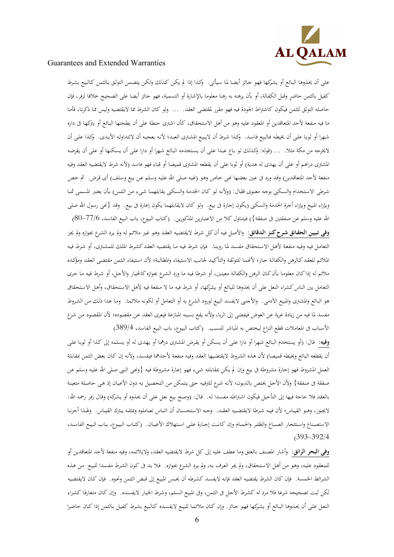

على أن يحذوها البـائع أو يشركها فهو جـائز أيضـا لما سيأتي. وكذا إذا لم يكن كـذلك ولكن يتضـمن التوثق بـالثمن كـالبيع بشرط كفيل بالثمن حاضر وقبل الكفالة، أو بأن يرهنه به رهنا معلوما بالإشارة أو التسمية، فهو جائز أيضا على الصحيح خلافا لزفر، فإن حاصله التوثق للثمن فيكون كاشتراط الجودة فيه فهو مقرر لمقتضى العقد. ... ولو كان الشرط مما لايقتضيه وليس ممـا ذكرنـا، فأمـا ما فيه منفعة لأحد المتعاقدين أو المعقود عليه وهو من أهل الاستحقاق، كأن اشترى حنطة على أن يطحنها البـائع أو يتركها فى داره شهرا أو ثوبـا علـى أن يخيطه فـالبيع فاسـد. وكـذا شـرط أن لايبيـع المشترى العبـد؛ لأنـه يعجبـه أن لاتتداولـه الأيـدى. وكـذا علـى أن لايخرجه من مكة مثلا. … (قوله: وكذلك لو بـاع عبـدا علـى أن يستخدمه البـائع شهرا أو دارا علـى أن يسكنها أو علـى أن يقرضه المشترى دراهم أو على أن يهدى له هدية) أو ثوبا على أن يقطعه المشترى قميصا أو قباء فهو فاسد (لأنه شرط لايقتضيه العقد وفيه منفعة لأحد المتعاقدين) وقد ورد في عين بعضها نمي خاص وهو رنميه صلى الله عليه وسلم عن بيع وسلف) أي قرض. ثم خص شرطي الاستخدام والسكنى بوجه معنوى فقـال: (ولأنـه لـو كـان الخدمـة والسكنى يقابلهمـا شـىء مـن الـثمن) بـأن يعتبر المسـمى ثمنـا وبإزاء المبيع وبإزاء أجرة الخدمة والسكنى (يكون إجارة فى بيع. ولو كان لايقابلهما يكون إعارة فى بيع. وقد {نَحى رسول الله صلى الله عليه وسلم عن صفقتين فى صفقة}) فيتناول كلا من الاعتبارين المذكورين. (كتاب البيوع، باب البيع الفاسد، 6/77–80<sub>)</sub> **وفى تبيين الحقـائق شـرح كنـز الـدقائق:** والأصـل فيـه أن كـل شـرط لايقتضـيه العقـد وهـو غـير ملائـم لـه و لم يـرد الشـرع بجـوازه ولم يجـز التعامل فيه وفيه منفعة لأهـل الاستحقاق مفسـد لمـا روينـا. فإن شـرط فيـه مـا يقتضيه العقـد كشـرط الملك للمشـترى، أو شـرط فيـه الملائـم للعقـد كـالرهن والكفالـة جـاز؛ لأنهمـا للتوثقة والتأكيـد لجـانب الاسـتيفاء والمطالبـة؛ لأن اسـتيفاء الـثمن مقتضـى العقـد ومؤكده ملائم له إذا كـان معلومـا بـأن كـان الـرهن والكفالـة معينـين ، أو شـرطا فيـه مـا ورد الشـرع بجـوازه كالخيـار والأجـل ، أو شـرط فيـه مـا جـرى التعامل بين الناس كشراء النعل على أن يحذوها للبائع أو يشركها ، أو شرط فيه ما لا منفعة فيه لأهل الاسـتحقاق ، وأهـل الاسـتحقاق هو البائع والمشترى والمبيع الآدمي. والأجنبي لايفسد البيع لورود الشرع به أو التعامل أو لكونه ملائمـا. ومـا عـدا ذلك من الشروط مفسد لما فيه من زيادة عرية عن العوض فيفضى إلى الربا، ولأنه يقع بسببه المنازعة فيعرى العقد عن مقصوده؛ لأن المقصود من شرع الأسباب فى المعاملات قطع النزاع ليختص به المباشر للسبب. (كتاب البيوع، باب البيع الفاسد، 4/ 389 )

**وفيه**: قال: (أو يستخدم البـائع شـهرا أو دارا علـى أن يسكن أو يقرض المشترى درهما أو يهـدي له أو يسلمه إلى كـذا أو ثوبـا علـى أن يقطعه البائع ويخيطه قميصا) لأن هـذه الشـروط لايقتضـيها العقـد وفيـه منفعـة لأحـدهما فيفسـد ، ولأنـه إن كـان بعـض الـثمن بمقابلـة العمل المشروط فهو إجارة مشروطة فى بيع وإن لم يكن بمقابلته شيء فهو إعـارة مشروطة فيه {ونحى النبي صلى الله عليه وسلم عن صفقة فى صفقة} ولأن الأجل يختص بالديون؛ لأنه شرع للترفيه حتى يتمكن من التحصيل به دون الأعيان إذ هي حاصلة متعينة بالعقد فلا حاجة فيها إلى التأجيل فيكون اشتراطه مفسدا له. قال: (وصح بيع نعل على أن يحذوه أو يشركه) وقال زفر رحمه الله: لايجـوز، وهـو القيــاس؛ لأن فيـه شـرطا لايقتضـيه العقـد. وجـه الاستحســان أن النــاس تعــاملوه وبمثلـه يـترك القيــاس. ولهـذا أجزنــا الاستصـناع واسـتئجار الصباغ والظئـر والحمـام وإن كانـت إجـارة علـى اسـتهلاك الأعيـان. (كتـاب البيـوع، بـاب البيـع الفاسـد،  $(393 - 392)4$ 

وفى **البحر الرائق**: وأشار المصنف بالعتق وما عطف عليه إلى كل شرط لايقتضيه العقد، ولايلائمه، وفيه منفعة لأحد المتعاقدين أو للمعقود عليه، وهـو مـن أهـل الاستحقاق، ولم يجر العرف به، ولم يرد الشرع بجوازه. فلا بـد في كـون الشـرط مفسـدا للبيع مـن هـذه الشرائط الخمسة. فإن كان الشرط يقتضيه العقد فإنه لايفسد كشرطه أن يحبس المبيع إلى قبض الثمن ونحوه. فإن كـان لايقتضيه لكن ثبت تصحيحه شرعا فلا مرد له كشرط الأجل فى الثمن، وفى المبيع السلم، وشرط الخيـار لايفسـده. وإن كـان متعارفـا كشـراء النعـل علـى أن يحـذوها البـائع أو يشـركها فهـو جـائز. وإن كـان ملائمـا للبيـع لايفسـده كـالبيع بشـرط كفيـل بـالثمن إذا كـان حاضـرا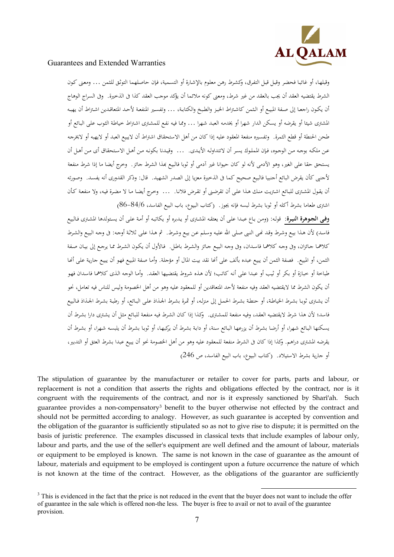

وقبلهـا، أو غائبـا فحضر وقبل قبل التفرق، وكشرط رهـن معلوم بالإشـارة أو التسـمية، فإن حاصلهما التوثـق للثمن ... ومعنى كـون الشرط يقتضيه العقد أن يجب بالعقد من غير شرط، ومعنى كونه ملائما أن يؤكد موجب العقد فى كذا الذخيرة. وفى السراج الوهاج .<br>أن يكـون راجعـا إلى صـفة المبيـع أو الـثمن كاشـتراط الخبـز والطبـخ والكتابـة، ... وتفسـير المنفعـة لأحـد المتعاقـدين اشـتراط أن يهبـه المشترى شيئا أو يقرضه أو يسكن الدار شهرا أو يخدمه العبد شهرا ... وممـا فيه نفع للمشترى اشتراط خياطة الثوب على البـائع أو طحن الحنطة أو قطع الثمرة. وتفسيره منفعة المعقود عليه إذا كان من أهل الاستحقاق اشتراط أن لايبيع العبد أو لايهبه أو لايخرجه عـن ملكـه بوجـه مـن الوجـوه، فـإن المملـوك يسـر أن لاتتداولـه الأيـدي. ... وقيـدنا بكونـه مـن أهـل الاستحقاق أي مـن أهـل أن يستحق حقا على الغير، وهو الآدمي لأنه لو كان حيوانا غير آدمي أو ثوبا فالبيع بمذا الشرط جائز . وخرج أيضا ما إذا شرط منفعة لأجنبي كأن يقرض البائع أجنبيا فالبيع صحيح كما في الذخيرة معزيا إلى الصدر الشهيد. قال: وذكر القدوري أنه يفسد. وصورته أن يقـول المشـتر ى للبـائع اشـتريت منـك هـذا علـى أن تقرضـنى أو تقـرض فلانـا . ... وخـرج أيضـا لا مـا مضـرة فيـه، ولا منفعـة كـأن اش ترى طعاما بشرط أكله أو ثوبا بشرط لبسه فإنه يجوز . (كتاب البيوع، باب البيع الفاسد، 6/ 84- )86

**وفـى الجـوهرة النيـرة:** قولـه: ( ومـن بـاع عبـدا علـى أن يعتقـه المشـتر أو ى يـدبره أو يكاتبـه أو أمـة علـى أن يسـتولدها المشـتر ى فـالبيع فاسـد) لأن هـذا بيـع وشـرط وقـد نحـى النـبى صـلى الله عليـه وسـلم عـن بيـع وشـرط. ثم هـذا علـى ثلاثـة أوجـه: فى وجـه البيـع والشـرط كلاهمـا جـائزان، وفى وجـه كلاهمـا فاسـدان، وفى وجـه البيـع جـائز والشـرط باطـل. فـالأول أن يكـون الشـرط ممـا يرجـع إلى بيـان صـفة الثمن، أو المبيع. فصفة الثمن أن يبيع عبده بألف على أنحا نقد بيت المال أو مؤجلة. وأمـا صفة المبيع فهو أن يبيع جارية على أنحـا طباخة أو خبازة أو بكر أو ثيب أو عبدا على أنه كاتب؛ لأن هـذه شروط يقتضيها العقـد. وأمـا الوجه الـذي كلاهما فاسـدان فهو .<br>أن يكون الشرط مما لايقتضيه العقد وفيه منفعة لأحد المتعاقدين أو للمعقود عليه وهو من أهل الخصومة وليس للناس فيه تعامل، نحو أن يشـترى ثوبـا بشـرط الخياطـة، أو حنطـة بشـرط الحمـل إلى منزلـه، أو ثمـرة بشـرط الجـذاذ علـى البـائع، أو رطبـة بشـرط الجـذاذ فـالبيع فاسد؛ لأن هذا شرط لايقتضيه العقد، وفيه منفعة للمشترى. وكذا إذا كـان الشرط فيه منفعة للبـائع مثل أن يشترى دارا بشرط أن يسكنها البـائع شـهرا، أو أرضـا بشـرط أن يزرعهـا البـائع سنة، أو دابـة بشـرط أن يركبهـا، أو ثوبـا بشـرط أن يلبسـه شـهرا، أو بشـرط أن يقرضه المشترى دراهم. وكذا إذا كان فى الشرط منفعة للمعقود عليه وهو من أهل الخصومة نحو أن يبيع عبدا بشرط العتق أو التدبير، أو جارية بشرط الاستيلاد. (كتاب البيوع، باب البيع الفاسد، ص 246)

The stipulation of guarantee by the manufacturer or retailer to cover for parts, parts and labour, or replacement is not a condition that asserts the rights and obligations effected by the contract, nor is it congruent with the requirements of the contract, and nor is it expressly sanctioned by Sharî'ah. Such guarantee provides a non-compensatory<sup>3</sup> benefit to the buyer otherwise not effected by the contract and should not be permitted according to analogy. However, as such guarantee is accepted by convention and the obligation of the guarantor is sufficiently stipulated so as not to give rise to dispute; it is permitted on the basis of juristic preference. The examples discussed in classical texts that include examples of labour only, labour and parts, and the use of the seller's equipment are well defined and the amount of labour, materials or equipment to be employed is known. The same is not known in the case of guarantee as the amount of labour, materials and equipment to be employed is contingent upon a future occurrence the nature of which is not known at the time of the contract. However, as the obligations of the guarantor are sufficiently

<sup>-</sup><sup>3</sup> This is evidenced in the fact that the price is not reduced in the event that the buyer does not want to include the offer of guarantee in the sale which is offered non-the less. The buyer is free to avail or not to avail of the guarantee provision.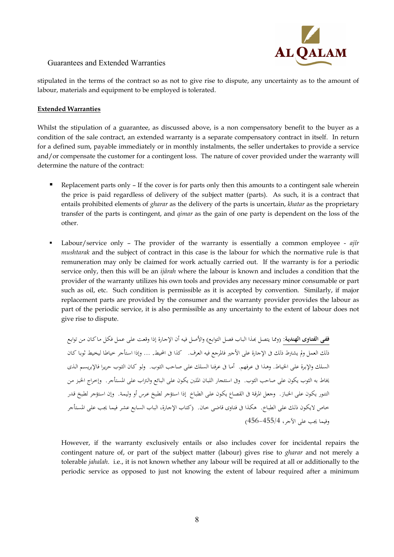

stipulated in the terms of the contract so as not to give rise to dispute, any uncertainty as to the amount of labour, materials and equipment to be employed is tolerated.

### **Extended Warranties**

Whilst the stipulation of a guarantee, as discussed above, is a non compensatory benefit to the buyer as a condition of the sale contract, an extended warranty is a separate compensatory contract in itself. In return for a defined sum, payable immediately or in monthly instalments, the seller undertakes to provide a service and/or compensate the customer for a contingent loss. The nature of cover provided under the warranty will determine the nature of the contract:

- Replacement parts only  $-$  If the cover is for parts only then this amounts to a contingent sale wherein the price is paid regardless of delivery of the subject matter (parts). As such, it is a contract that entails prohibited elements of *gharar* as the delivery of the parts is uncertain, *khatar* as the proprietary transfer of the parts is contingent, and *qimar* as the gain of one party is dependent on the loss of the other.
- Labour/service only The provider of the warranty is essentially a common employee *ajîr mushtarak* and the subject of contract in this case is the labour for which the normative rule is that remuneration may only be claimed for work actually carried out. If the warranty is for a periodic service only, then this will be an *ijârah* where the labour is known and includes a condition that the provider of the warranty utilizes his own tools and provides any necessary minor consumable or part such as oil, etc. Such condition is permissible as it is accepted by convention. Similarly, if major replacement parts are provided by the consumer and the warranty provider provides the labour as part of the periodic service, it is also permissible as any uncertainty to the extent of labour does not give rise to dispute.

**ففـى الفتـاوى الهنديـة:** ( وممـا يتصـل ـذا البـاب فصـل التوابـع) والأصـل فيـه أن الإجـارة إذا وقعـت علـى عمـل فكـل مـا كـان مـن توابـع ذلك العمل ولم يشترط ذلك فى الإجارة على الأجير فالمرجع فيه العرف. كذا فى المحـيط. ... وإذا اسـتأجر خياطـا ليخـيط ثوبـا كـان السلك والإبرة على الخيـاط. وهـذا فى عـرفهم. أمـا فى عرفنـا السلك على صـاحب الثـوب. ولـو كـان الثـوب حريـرا فالإبريسـم الـذي يخاط به الثوب يكون على صاحب الثوب . وفى استئجار اللبـان الملـبن يكـون علـى البـائع والـتراب علـى المسـتأج . ر وإخـراج الخبـز مـن التنـور يكـون علـى الخبـاز . وجعـل المرقـة فى القصـاع يكـون علـى الطبـاخ إذا اسـتؤجر لطـبخ عـرس أو وليمـة . وإن اسـتؤجر لطـبخ قـدر خـاص لايكـون ذلـك علـى الطبـاخ . هكـذا فى فتـاوى قاضـ ى .خـان (كتـاب الإجـارة، البـاب السـابع عشـر فيمـا يجـب علـى المسـتأجر وفيما يجب على الآجر ،4/ 456-455 )

However, if the warranty exclusively entails or also includes cover for incidental repairs the contingent nature of, or part of the subject matter (labour) gives rise to *gharar* and not merely a tolerable *jahalah*. i.e., it is not known whether any labour will be required at all or additionally to the periodic service as opposed to just not knowing the extent of labour required after a minimum